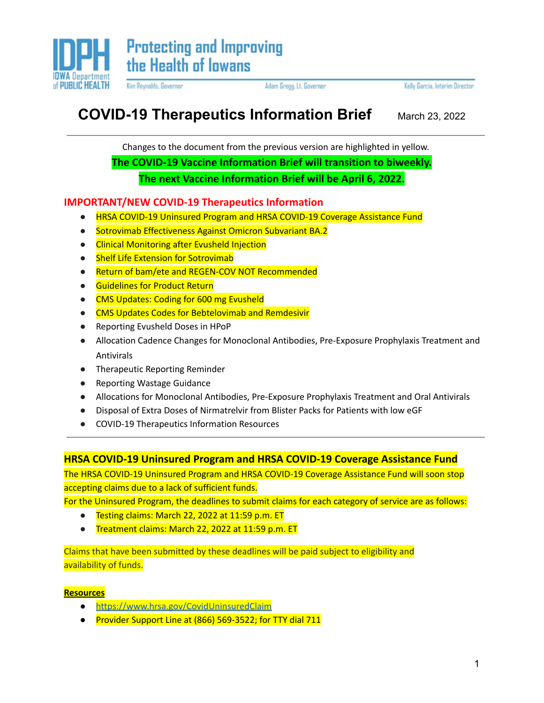

Kim Reynolds, Governor

Adam Gregg, Lt. Governor

Kelly Garcia, Interim Director

# **COVID-19 Therapeutics Information Brief** March 23, <sup>2022</sup>

Changes to the document from the previous version are highlighted in yellow. **The COVID-19 Vaccine Information Brief will transition to biweekly. The next Vaccine Information Brief will be April 6, 2022.**

### **IMPORTANT/NEW COVID-19 Therapeutics Information**

- **HRSA COVID-19 Uninsured Program and HRSA COVID-19 Coverage Assistance Fund**
- **●** Sotrovimab Effectiveness Against Omicron Subvariant BA.2
- **●** Clinical Monitoring after Evusheld Injection
- Shelf Life Extension for Sotrovimab
- Return of bam/ete and REGEN-COV NOT Recommended
- Guidelines for Product Return
- CMS Updates: Coding for 600 mg Evusheld
- CMS Updates Codes for Bebtelovimab and Remdesivir
- **●** Reporting Evusheld Doses in HPoP
- **●** Allocation Cadence Changes for Monoclonal Antibodies, Pre-Exposure Prophylaxis Treatment and Antivirals
- **●** Therapeutic Reporting Reminder
- **●** Reporting Wastage Guidance
- Allocations for Monoclonal Antibodies, Pre-Exposure Prophylaxis Treatment and Oral Antivirals
- Disposal of Extra Doses of Nirmatrelvir from Blister Packs for Patients with low eGF
- COVID-19 Therapeutics Information Resources

### **HRSA COVID-19 Uninsured Program and HRSA COVID-19 Coverage Assistance Fund**

The HRSA COVID-19 Uninsured Program and HRSA COVID-19 Coverage Assistance Fund will soon stop accepting claims due to a lack of sufficient funds.

For the Uninsured Program, the deadlines to submit claims for each category of service are as follows:

- Testing claims: March 22, 2022 at 11:59 p.m. ET
- Treatment claims: March 22, 2022 at 11:59 p.m. ET

Claims that have been submitted by these deadlines will be paid subject to eligibility and availability of funds.

#### **Resources**

- <https://www.hrsa.gov/CovidUninsuredClaim>
- Provider Support Line at (866) 569-3522; for TTY dial 711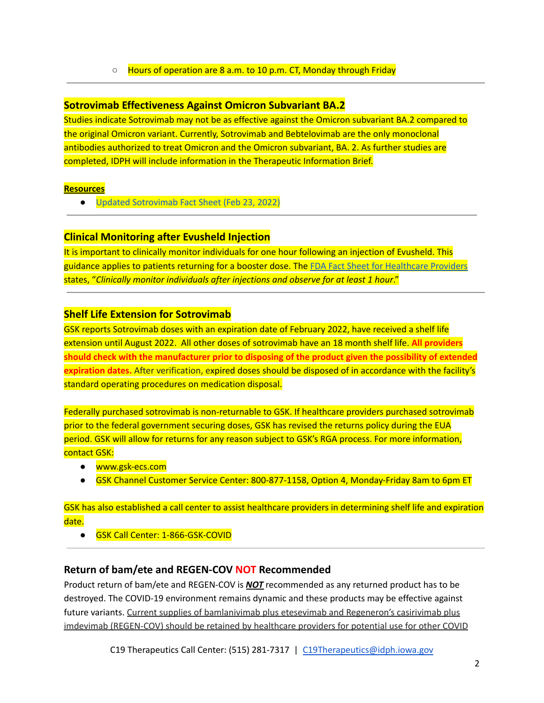#### ○ Hours of operation are 8 a.m. to 10 p.m. CT, Monday through Friday

### **Sotrovimab Effectiveness Against Omicron Subvariant BA.2**

Studies indicate Sotrovimab may not be as effective against the Omicron subvariant BA.2 compared to the original Omicron variant. Currently, Sotrovimab and Bebtelovimab are the only monoclonal antibodies authorized to treat Omicron and the Omicron subvariant, BA. 2. As further studies are completed, IDPH will include information in the Therapeutic Information Brief.

#### **Resources**

● Updated [Sotrovimab](https://www.fda.gov/media/149534/download) Fact Sheet (Feb 23, 2022)

### **Clinical Monitoring after Evusheld Injection**

It is important to clinically monitor individuals for one hour following an injection of Evusheld. This guidance applies to patients returning for a booster dose. The FDA Fact Sheet for [Healthcare](https://www.fda.gov/media/154701/download) Providers states, "*Clinically monitor individuals after injections and observe for at least 1 hour*."

### **Shelf Life Extension for Sotrovimab**

GSK reports Sotrovimab doses with an expiration date of February 2022, have received a shelf life extension until August 2022. All other doses of sotrovimab have an 18 month shelf life. **All providers should check with the manufacturer prior to disposing of the product given the possibility of extended expiration dates.** After verification, expired doses should be disposed of in accordance with the facility's standard operating procedures on medication disposal.

Federally purchased sotrovimab is non-returnable to GSK. If healthcare providers purchased sotrovimab prior to the federal government securing doses, GSK has revised the returns policy during the EUA period. GSK will allow for returns for any reason subject to GSK's RGA process. For more information, contact GSK:

- [www.gsk-ecs.com](http://www.gsk-ecs.com/)
- GSK Channel Customer Service Center: 800-877-1158, Option 4, Monday-Friday 8am to 6pm ET

GSK has also established a call center to assist healthcare providers in determining shelf life and expiration date.

● GSK Call Center: 1-866-GSK-COVID

### **Return of bam/ete and REGEN-COV NOT Recommended**

Product return of bam/ete and REGEN-COV is *NOT* recommended as any returned product has to be destroyed. The COVID-19 environment remains dynamic and these products may be effective against future variants. Current supplies of bamlanivimab plus etesevimab and Regeneron's casirivimab plus imdevimab (REGEN-COV) should be retained by healthcare providers for potential use for other COVID

C19 Therapeutics Call Center: (515) 281-7317 | [C19Therapeutics@idph.iowa.gov](mailto:c19therapeutics@idph.iowa.gov)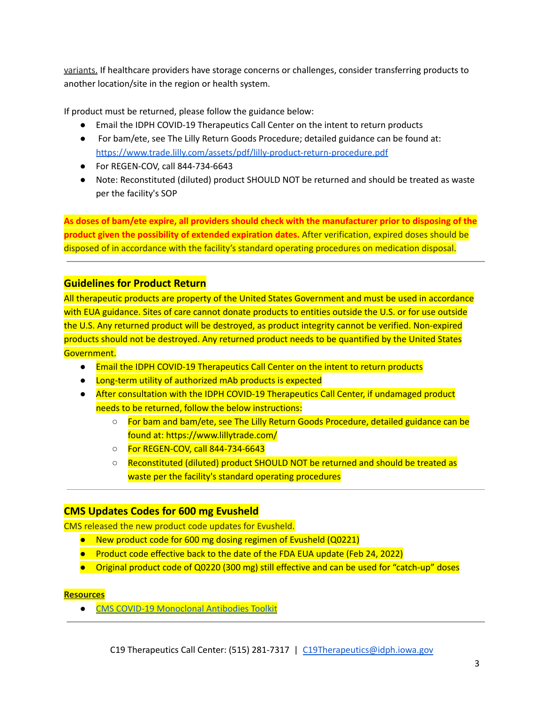variants. If healthcare providers have storage concerns or challenges, consider transferring products to another location/site in the region or health system.

If product must be returned, please follow the guidance below:

- Email the IDPH COVID-19 Therapeutics Call Center on the intent to return products
- For bam/ete, see The Lilly Return Goods Procedure; detailed guidance can be found at: <https://www.trade.lilly.com/assets/pdf/lilly-product-return-procedure.pdf>
- For REGEN-COV, call 844-734-6643
- Note: Reconstituted (diluted) product SHOULD NOT be returned and should be treated as waste per the facility's SOP

**As doses of bam/ete expire, all providers should check with the manufacturer prior to disposing of the product given the possibility of extended expiration dates.** After verification, expired doses should be disposed of in accordance with the facility's standard operating procedures on medication disposal.

### **Guidelines for Product Return**

All therapeutic products are property of the United States Government and must be used in accordance with EUA guidance. Sites of care cannot donate products to entities outside the U.S. or for use outside the U.S. Any returned product will be destroyed, as product integrity cannot be verified. Non-expired products should not be destroyed. Any returned product needs to be quantified by the United States Government.

- Email the IDPH COVID-19 Therapeutics Call Center on the intent to return products
- Long-term utility of authorized mAb products is expected
- After consultation with the IDPH COVID-19 Therapeutics Call Center, if undamaged product needs to be returned, follow the below instructions:
	- For bam and bam/ete, see The Lilly Return Goods Procedure, detailed guidance can be found at: https://www.lillytrade.com/
	- For REGEN-COV, call 844-734-6643
	- Reconstituted (diluted) product SHOULD NOT be returned and should be treated as waste per the facility's standard operating procedures

### **CMS Updates Codes for 600 mg Evusheld**

CMS released the new product code updates for Evusheld.

- New product code for 600 mg dosing regimen of Evusheld (Q0221)
- Product code effective back to the date of the FDA EUA update (Feb 24, 2022)
- Original product code of Q0220 (300 mg) still effective and can be used for "catch-up" doses

### **Resources**

● CMS COVID-19 [Monoclonal](https://www.cms.gov/monoclonal) Antibodies Toolkit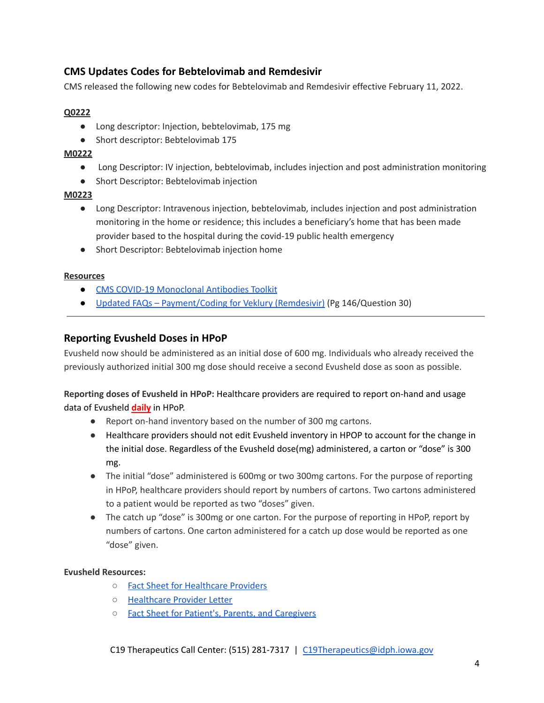### **CMS Updates Codes for Bebtelovimab and Remdesivir**

CMS released the following new codes for Bebtelovimab and Remdesivir effective February 11, 2022.

#### **Q0222**

- Long descriptor: Injection, bebtelovimab, 175 mg
- Short descriptor: Bebtelovimab 175

#### **M0222**

- Long Descriptor: IV injection, bebtelovimab, includes injection and post administration monitoring
- Short Descriptor: Bebtelovimab injection

#### **M0223**

- Long Descriptor: Intravenous injection, bebtelovimab, includes injection and post administration monitoring in the home or residence; this includes a beneficiary's home that has been made provider based to the hospital during the covid-19 public health emergency
- Short Descriptor: Bebtelovimab injection home

#### **Resources**

- CMS COVID-19 [Monoclonal](https://www.cms.gov/monoclonal) Antibodies Toolkit
- Updated FAQs [Payment/Coding](https://www.cms.gov/files/document/03092020-covid-19-faqs-508.pdf) for Veklury (Remdesivir) (Pg 146/Question 30)

#### **Reporting Evusheld Doses in HPoP**

Evusheld now should be administered as an initial dose of 600 mg. Individuals who already received the previously authorized initial 300 mg dose should receive a second Evusheld dose as soon as possible.

#### **Reporting doses of Evusheld in HPoP:** Healthcare providers are required to report on-hand and usage data of Evusheld **daily** in HPoP.

- Report on-hand inventory based on the number of 300 mg cartons.
- Healthcare providers should not edit Evusheld inventory in HPOP to account for the change in the initial dose. Regardless of the Evusheld dose(mg) administered, a carton or "dose" is 300 mg.
- The initial "dose" administered is 600mg or two 300mg cartons. For the purpose of reporting in HPoP, healthcare providers should report by numbers of cartons. Two cartons administered to a patient would be reported as two "doses" given.
- The catch up "dose" is 300mg or one carton. For the purpose of reporting in HPoP, report by numbers of cartons. One carton administered for a catch up dose would be reported as one "dose" given.

#### **Evusheld Resources:**

- Fact Sheet for [Healthcare](https://www.fda.gov/media/154701/download) Providers
- [Healthcare](https://www.fda.gov/media/154704/download) Provider Letter
- Fact Sheet for Patient's, Parents, and [Caregivers](https://www.fda.gov/media/154702/download)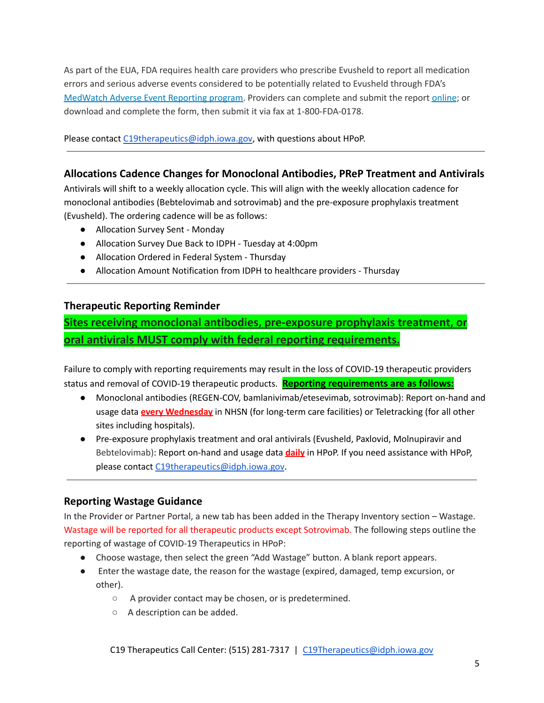As part of the EUA, FDA requires health care providers who prescribe Evusheld to report all medication errors and serious adverse events considered to be potentially related to Evusheld through FDA's [MedWatch](https://www.fda.gov/safety/medwatch-fda-safety-information-and-adverse-event-reporting-program) Adverse Event Reporting program. Providers can complete and submit the report [online](https://www.accessdata.fda.gov/scripts/medwatch/index.cfm?action=reporting.home); or download and complete the form, then submit it via fax at 1-800-FDA-0178.

Please contact [C19therapeutics@idph.iowa.gov](mailto:C19therapeutics@idph.iowa.gov), with questions about HPoP.

### **Allocations Cadence Changes for Monoclonal Antibodies, PReP Treatment and Antivirals**

Antivirals will shift to a weekly allocation cycle. This will align with the weekly allocation cadence for monoclonal antibodies (Bebtelovimab and sotrovimab) and the pre-exposure prophylaxis treatment (Evusheld). The ordering cadence will be as follows:

- Allocation Survey Sent Monday
- Allocation Survey Due Back to IDPH Tuesday at 4:00pm
- Allocation Ordered in Federal System Thursday
- Allocation Amount Notification from IDPH to healthcare providers Thursday

### **Therapeutic Reporting Reminder**

**Sites receiving monoclonal antibodies, pre-exposure prophylaxis treatment, or oral antivirals MUST comply with federal reporting requirements.**

Failure to comply with reporting requirements may result in the loss of COVID-19 therapeutic providers status and removal of COVID-19 therapeutic products. **Reporting requirements are as follows:**

- Monoclonal antibodies (REGEN-COV, bamlanivimab/etesevimab, sotrovimab): Report on-hand and usage data **every Wednesday** in NHSN (for long-term care facilities) or Teletracking (for all other sites including hospitals).
- Pre-exposure prophylaxis treatment and oral antivirals (Evusheld, Paxlovid, Molnupiravir and Bebtelovimab): Report on-hand and usage data **daily** in HPoP. If you need assistance with HPoP, please contact [C19therapeutics@idph.iowa.gov](mailto:c19therapeutics@idph.iowa.gov).

### **Reporting Wastage Guidance**

In the Provider or Partner Portal, a new tab has been added in the Therapy Inventory section – Wastage. Wastage will be reported for all therapeutic products except Sotrovimab. The following steps outline the reporting of wastage of COVID-19 Therapeutics in HPoP:

- Choose wastage, then select the green "Add Wastage" button. A blank report appears.
- Enter the wastage date, the reason for the wastage (expired, damaged, temp excursion, or other).
	- A provider contact may be chosen, or is predetermined.
	- A description can be added.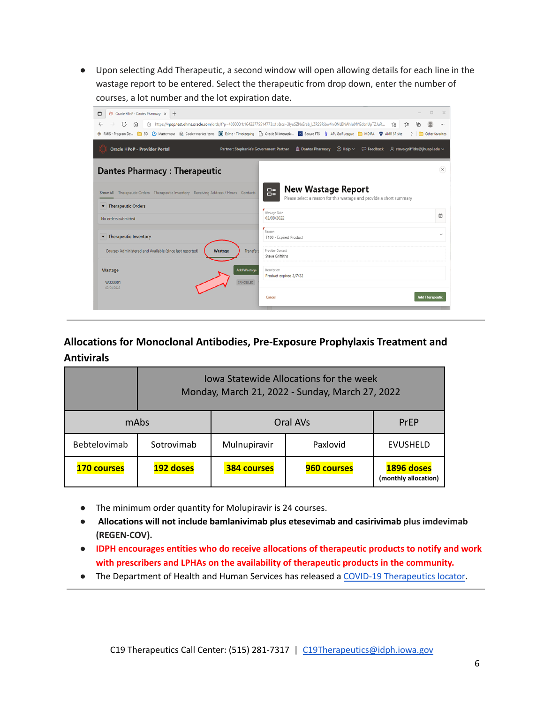● Upon selecting Add Therapeutic, a second window will open allowing details for each line in the wastage report to be entered. Select the therapeutic from drop down, enter the number of courses, a lot number and the lot expiration date.

| <b>Oracle HPoP - Provider Portal</b>                                                                                        | Partner: Stephanie's Government Partner | (8) RMIS - Program De [8] SD (4) Mattermost @ Cooler-market items [8] Etime - Timekeeping [9] Oracle Bl Interactiv [8] Secure FTS [8] APL Golf League [8] MDIRA [8] AMR SP site<br>$\hat{p}$ Dantes Pharmacy $\circled{?}$ Help $\vee$ | > Other favorites<br>$\heartsuit$ Feedback $\heartsuit$ steve.griffiths@jhuapl.edu $\vee$ |
|-----------------------------------------------------------------------------------------------------------------------------|-----------------------------------------|----------------------------------------------------------------------------------------------------------------------------------------------------------------------------------------------------------------------------------------|-------------------------------------------------------------------------------------------|
| <b>Dantes Pharmacy: Therapeutic</b><br>Show All Therapeutic Orders Therapeutic Inventory Receiving Address / Hours Contacts |                                         | <b>New Wastage Report</b><br>멾<br>Please select a reason for this wastage and provide a short summary                                                                                                                                  | $\propto$                                                                                 |
| Therapeutic Orders                                                                                                          |                                         | Wastage Date<br>02/08/2022                                                                                                                                                                                                             | 自                                                                                         |
| No orders submitted<br>Therapeutic Inventory                                                                                |                                         | Reason<br>T100 - Expired Product                                                                                                                                                                                                       | $\checkmark$                                                                              |
| Courses Administered and Available (since last reported)                                                                    | Transfers<br><b>Wastage</b>             | Provider Contact<br>Steve Griffiths                                                                                                                                                                                                    |                                                                                           |
| Wastage                                                                                                                     | <b>Add Wastage</b><br>CANCELLED         | Description<br>Product expired 2/7/22                                                                                                                                                                                                  |                                                                                           |
| W000001                                                                                                                     |                                         |                                                                                                                                                                                                                                        |                                                                                           |

## **Allocations for Monoclonal Antibodies, Pre-Exposure Prophylaxis Treatment and Antivirals**

|                    | Iowa Statewide Allocations for the week<br>Monday, March 21, 2022 - Sunday, March 27, 2022 |                    |             |                                    |  |  |
|--------------------|--------------------------------------------------------------------------------------------|--------------------|-------------|------------------------------------|--|--|
| mAbs               |                                                                                            | Oral AVs           |             | PrFP                               |  |  |
| Bebtelovimab       | Sotrovimab                                                                                 | Mulnupiravir       | Paxlovid    | <b>EVUSHELD</b>                    |  |  |
| <b>170 courses</b> | 192 doses                                                                                  | <b>384 courses</b> | 960 courses | 1896 doses<br>(monthly allocation) |  |  |

- **●** The minimum order quantity for Molupiravir is 24 courses.
- **● Allocations will not include bamlanivimab plus etesevimab and casirivimab plus imdevimab (REGEN-COV).**
- **● IDPH encourages entities who do receive allocations of therapeutic products to notify and work with prescribers and LPHAs on the availability of therapeutic products in the community.**
- The Department of Health and Human Services has released a COVID-19 [Therapeutics](https://covid-19-therapeutics-locator-dhhs.hub.arcgis.com/) locator.